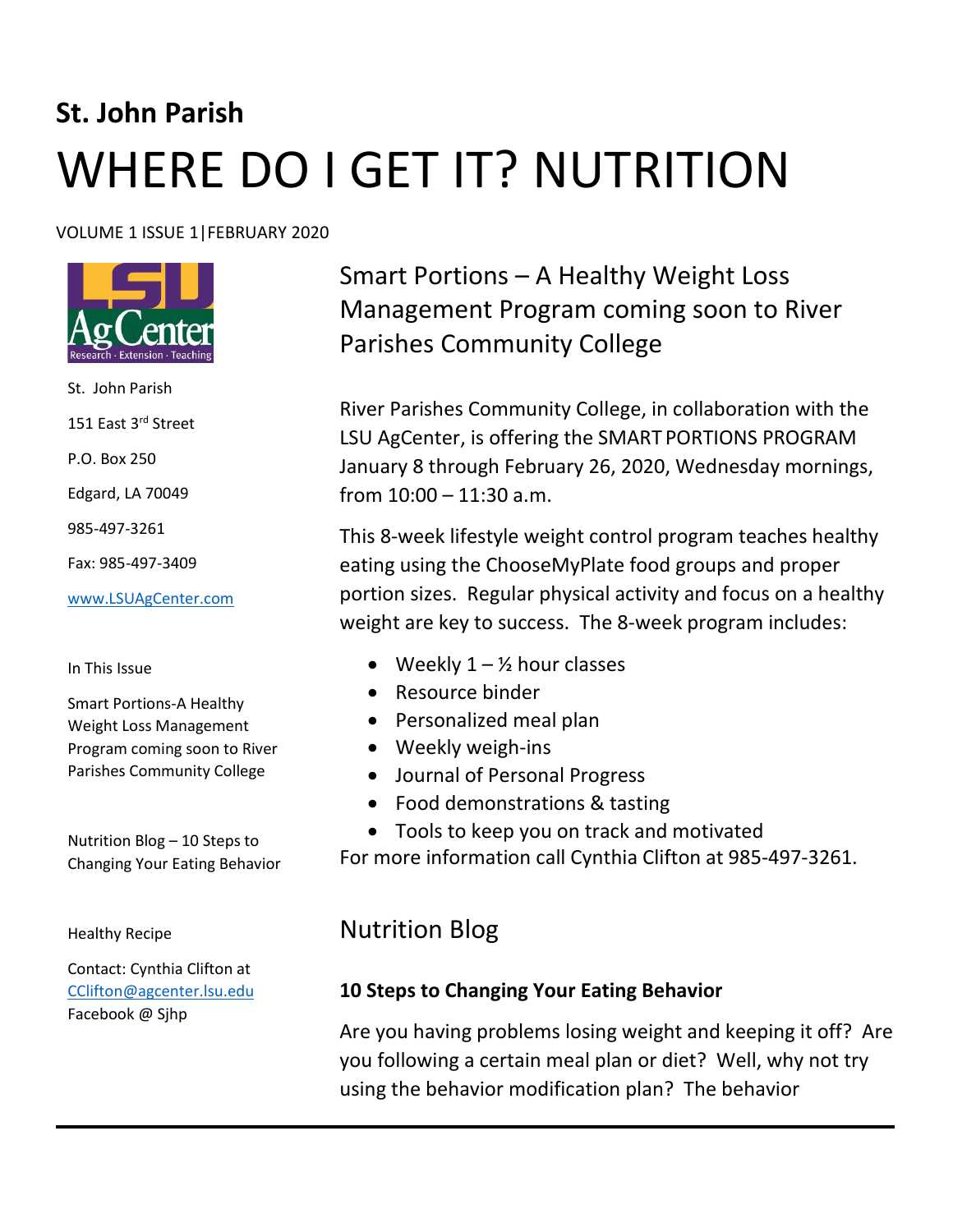# **St. John Parish** WHERE DO I GET IT? NUTRITION

#### VOLUME 1 ISSUE 1|FEBRUARY 2020



St. John Parish 151 East 3rd Street P.O. Box 250 Edgard, LA 70049 985-497-3261 Fax: 985-497-3409 [www.LSUAgCenter.com](http://www.lsuagcenter.com/)

#### In This Issue

Smart Portions-A Healthy Weight Loss Management Program coming soon to River Parishes Community College

Nutrition Blog – 10 Steps to Changing Your Eating Behavior

Healthy Recipe

Contact: Cynthia Clifton at [CClifton@agcenter.lsu.edu](mailto:CClifton@agcenter.lsu.edu)  Facebook @ Sjhp

Smart Portions – A Healthy Weight Loss Management Program coming soon to River Parishes Community College

River Parishes Community College, in collaboration with the LSU AgCenter, is offering the SMART PORTIONS PROGRAM January 8 through February 26, 2020, Wednesday mornings, from 10:00 – 11:30 a.m.

This 8-week lifestyle weight control program teaches healthy eating using the ChooseMyPlate food groups and proper portion sizes. Regular physical activity and focus on a healthy weight are key to success. The 8-week program includes:

- Weekly  $1 \frac{1}{2}$  hour classes
- Resource binder
- Personalized meal plan
- Weekly weigh-ins
- Journal of Personal Progress
- Food demonstrations & tasting
- Tools to keep you on track and motivated

For more information call Cynthia Clifton at 985-497-3261.

# Nutrition Blog

## **10 Steps to Changing Your Eating Behavior**

Are you having problems losing weight and keeping it off? Are you following a certain meal plan or diet? Well, why not try using the behavior modification plan? The behavior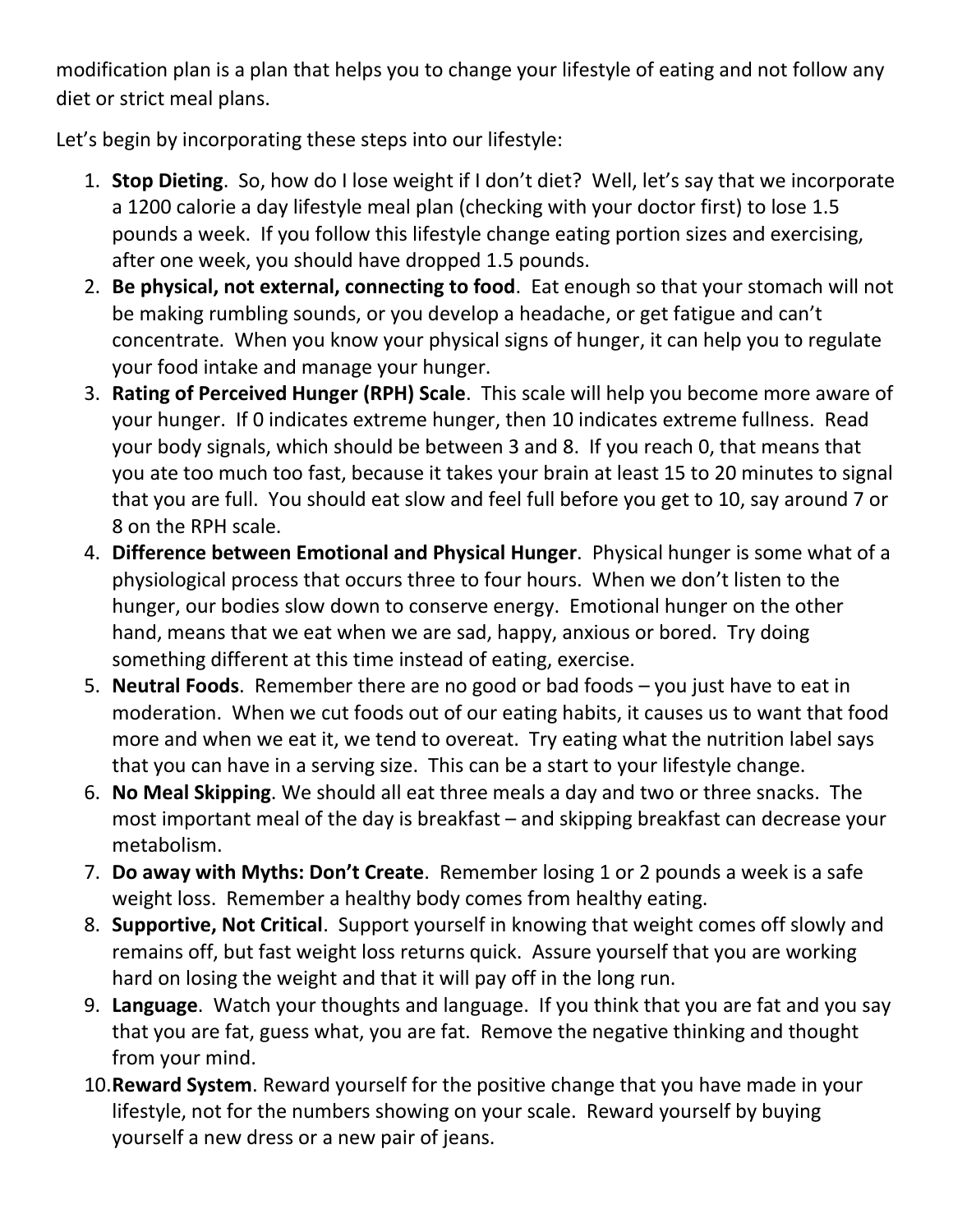modification plan is a plan that helps you to change your lifestyle of eating and not follow any diet or strict meal plans.

Let's begin by incorporating these steps into our lifestyle:

- 1. **Stop Dieting**. So, how do I lose weight if I don't diet? Well, let's say that we incorporate a 1200 calorie a day lifestyle meal plan (checking with your doctor first) to lose 1.5 pounds a week. If you follow this lifestyle change eating portion sizes and exercising, after one week, you should have dropped 1.5 pounds.
- 2. **Be physical, not external, connecting to food**. Eat enough so that your stomach will not be making rumbling sounds, or you develop a headache, or get fatigue and can't concentrate. When you know your physical signs of hunger, it can help you to regulate your food intake and manage your hunger.
- 3. **Rating of Perceived Hunger (RPH) Scale**. This scale will help you become more aware of your hunger. If 0 indicates extreme hunger, then 10 indicates extreme fullness. Read your body signals, which should be between 3 and 8. If you reach 0, that means that you ate too much too fast, because it takes your brain at least 15 to 20 minutes to signal that you are full. You should eat slow and feel full before you get to 10, say around 7 or 8 on the RPH scale.
- 4. **Difference between Emotional and Physical Hunger**. Physical hunger is some what of a physiological process that occurs three to four hours. When we don't listen to the hunger, our bodies slow down to conserve energy. Emotional hunger on the other hand, means that we eat when we are sad, happy, anxious or bored. Try doing something different at this time instead of eating, exercise.
- 5. **Neutral Foods**. Remember there are no good or bad foods you just have to eat in moderation. When we cut foods out of our eating habits, it causes us to want that food more and when we eat it, we tend to overeat. Try eating what the nutrition label says that you can have in a serving size. This can be a start to your lifestyle change.
- 6. **No Meal Skipping**. We should all eat three meals a day and two or three snacks. The most important meal of the day is breakfast – and skipping breakfast can decrease your metabolism.
- 7. **Do away with Myths: Don't Create**. Remember losing 1 or 2 pounds a week is a safe weight loss. Remember a healthy body comes from healthy eating.
- 8. **Supportive, Not Critical**. Support yourself in knowing that weight comes off slowly and remains off, but fast weight loss returns quick. Assure yourself that you are working hard on losing the weight and that it will pay off in the long run.
- 9. **Language**. Watch your thoughts and language. If you think that you are fat and you say that you are fat, guess what, you are fat. Remove the negative thinking and thought from your mind.
- 10.**Reward System**. Reward yourself for the positive change that you have made in your lifestyle, not for the numbers showing on your scale. Reward yourself by buying yourself a new dress or a new pair of jeans.